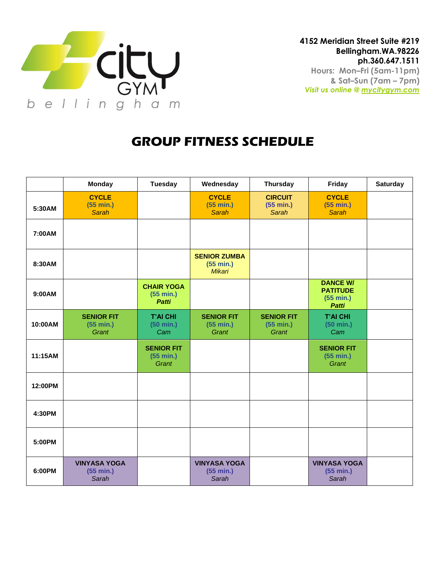

## **GROUP FITNESS SCHEDULE**

|         | <b>Monday</b>                             | <b>Tuesday</b>                                 | Wednesday                                  | <b>Thursday</b>                             | Friday                                                          | <b>Saturday</b> |
|---------|-------------------------------------------|------------------------------------------------|--------------------------------------------|---------------------------------------------|-----------------------------------------------------------------|-----------------|
| 5:30AM  | <b>CYCLE</b><br>(55 min.)<br><b>Sarah</b> |                                                | <b>CYCLE</b><br>(55 min.)<br><b>Sarah</b>  | <b>CIRCUIT</b><br>(55 min.)<br><b>Sarah</b> | <b>CYCLE</b><br>(55 min.)<br><b>Sarah</b>                       |                 |
| 7:00AM  |                                           |                                                |                                            |                                             |                                                                 |                 |
| 8:30AM  |                                           |                                                | <b>SENIOR ZUMBA</b><br>(55 min.)<br>Mikari |                                             |                                                                 |                 |
| 9:00AM  |                                           | <b>CHAIR YOGA</b><br>(55 min.)<br><b>Patti</b> |                                            |                                             | <b>DANCE W/</b><br><b>PATITUDE</b><br>(55 min.)<br><b>Patti</b> |                 |
| 10:00AM | <b>SENIOR FIT</b><br>(55 min.)<br>Grant   | <b>T'AI CHI</b><br>$(50 \text{ min.})$<br>Cam  | <b>SENIOR FIT</b><br>(55 min.)<br>Grant    | <b>SENIOR FIT</b><br>(55 min.)<br>Grant     | <b>T'AI CHI</b><br>$(50 \text{ min.})$<br>Cam                   |                 |
| 11:15AM |                                           | <b>SENIOR FIT</b><br>(55 min.)<br>Grant        |                                            |                                             | <b>SENIOR FIT</b><br>(55 min.)<br>Grant                         |                 |
| 12:00PM |                                           |                                                |                                            |                                             |                                                                 |                 |
| 4:30PM  |                                           |                                                |                                            |                                             |                                                                 |                 |
| 5:00PM  |                                           |                                                |                                            |                                             |                                                                 |                 |
| 6:00PM  | <b>VINYASA YOGA</b><br>(55 min.)<br>Sarah |                                                | <b>VINYASA YOGA</b><br>(55 min.)<br>Sarah  |                                             | <b>VINYASA YOGA</b><br>(55 min.)<br>Sarah                       |                 |